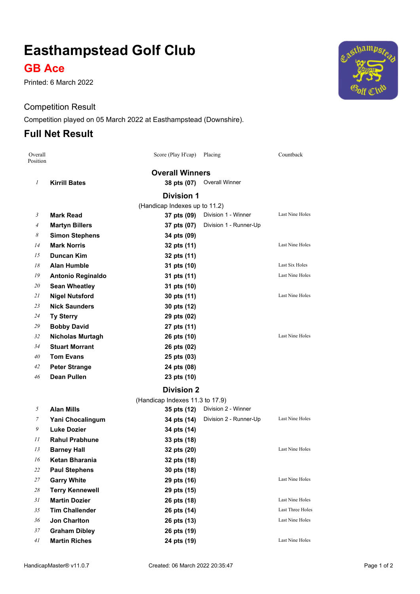# **Easthampstead Golf Club**

### **GB Ace**

Printed: 6 March 2022

#### Competition Result

Competition played on 05 March 2022 at Easthampstead (Downshire).

#### **Full Net Result**

| Overall<br>Position |                                 | Score (Play H'cap)            | Placing                | Countback              |  |  |  |  |
|---------------------|---------------------------------|-------------------------------|------------------------|------------------------|--|--|--|--|
|                     | <b>Overall Winners</b>          |                               |                        |                        |  |  |  |  |
| $\mathfrak{I}$      | <b>Kirrill Bates</b>            | 38 pts (07)                   | Overall Winner         |                        |  |  |  |  |
|                     |                                 | <b>Division 1</b>             |                        |                        |  |  |  |  |
|                     |                                 | (Handicap Indexes up to 11.2) |                        |                        |  |  |  |  |
| 3                   | Mark Read                       | 37 pts (09)                   | Division 1 - Winner    | Last Nine Holes        |  |  |  |  |
| 4                   | <b>Martyn Billers</b>           | 37 pts (07)                   | Division 1 - Runner-Up |                        |  |  |  |  |
| 8                   | <b>Simon Stephens</b>           | 34 pts (09)                   |                        |                        |  |  |  |  |
| 14                  | <b>Mark Norris</b>              | 32 pts (11)                   |                        | <b>Last Nine Holes</b> |  |  |  |  |
| 15                  | Duncan Kim                      | 32 pts (11)                   |                        |                        |  |  |  |  |
| 18                  | <b>Alan Humble</b>              | 31 pts (10)                   |                        | Last Six Holes         |  |  |  |  |
| 19                  | Antonio Reginaldo               | 31 pts (11)                   |                        | <b>Last Nine Holes</b> |  |  |  |  |
| 20                  | <b>Sean Wheatley</b>            | 31 pts (10)                   |                        |                        |  |  |  |  |
| 21                  | <b>Nigel Nutsford</b>           | 30 pts (11)                   |                        | <b>Last Nine Holes</b> |  |  |  |  |
| 23                  | <b>Nick Saunders</b>            | 30 pts (12)                   |                        |                        |  |  |  |  |
| 24                  | <b>Ty Sterry</b>                | 29 pts (02)                   |                        |                        |  |  |  |  |
| 29                  | <b>Bobby David</b>              | 27 pts (11)                   |                        |                        |  |  |  |  |
| 32                  | <b>Nicholas Murtagh</b>         | 26 pts (10)                   |                        | Last Nine Holes        |  |  |  |  |
| 34                  | <b>Stuart Morrant</b>           | 26 pts (02)                   |                        |                        |  |  |  |  |
| 40                  | <b>Tom Evans</b>                | 25 pts (03)                   |                        |                        |  |  |  |  |
| 42                  | <b>Peter Strange</b>            | 24 pts (08)                   |                        |                        |  |  |  |  |
| 46                  | <b>Dean Pullen</b>              | 23 pts (10)                   |                        |                        |  |  |  |  |
|                     |                                 | <b>Division 2</b>             |                        |                        |  |  |  |  |
|                     | (Handicap Indexes 11.3 to 17.9) |                               |                        |                        |  |  |  |  |
| 5                   | <b>Alan Mills</b>               | 35 pts (12)                   | Division 2 - Winner    |                        |  |  |  |  |
| 7                   | Yani Chocalingum                | 34 pts (14)                   | Division 2 - Runner-Up | Last Nine Holes        |  |  |  |  |
| 9                   | <b>Luke Dozier</b>              | 34 pts (14)                   |                        |                        |  |  |  |  |
| 11                  | <b>Rahul Prabhune</b>           | 33 pts (18)                   |                        |                        |  |  |  |  |
| 13                  | <b>Barney Hall</b>              | 32 pts (20)                   |                        | <b>Last Nine Holes</b> |  |  |  |  |
| 16                  | Ketan Bharania                  | 32 pts (18)                   |                        |                        |  |  |  |  |
| 22                  | <b>Paul Stephens</b>            | 30 pts (18)                   |                        |                        |  |  |  |  |
| 27                  | <b>Garry White</b>              | 29 pts (16)                   |                        | Last Nine Holes        |  |  |  |  |
| 28                  | <b>Terry Kennewell</b>          | 29 pts (15)                   |                        |                        |  |  |  |  |
| 31                  | <b>Martin Dozier</b>            | 26 pts (18)                   |                        | Last Nine Holes        |  |  |  |  |
| 35                  | <b>Tim Challender</b>           | 26 pts (14)                   |                        | Last Three Holes       |  |  |  |  |
| 36                  | <b>Jon Charlton</b>             | 26 pts (13)                   |                        | Last Nine Holes        |  |  |  |  |
| 37                  | <b>Graham Dibley</b>            | 26 pts (19)                   |                        |                        |  |  |  |  |
| 41                  | <b>Martin Riches</b>            | 24 pts (19)                   |                        | Last Nine Holes        |  |  |  |  |

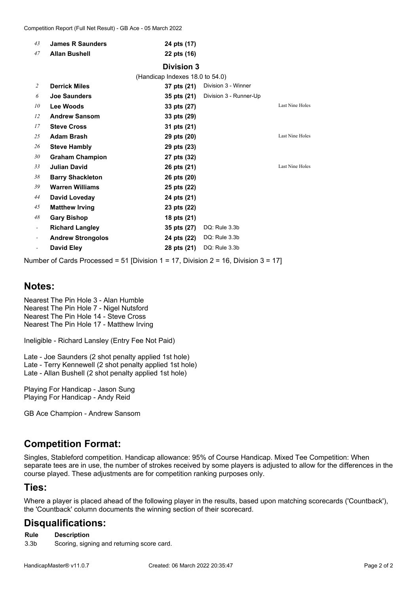| 43                       | <b>James R Saunders</b>  | 24 pts (17)                     |                        |                 |
|--------------------------|--------------------------|---------------------------------|------------------------|-----------------|
| 47                       | <b>Allan Bushell</b>     | 22 pts (16)                     |                        |                 |
|                          |                          | <b>Division 3</b>               |                        |                 |
|                          |                          | (Handicap Indexes 18.0 to 54.0) |                        |                 |
| 2                        | <b>Derrick Miles</b>     | 37 pts (21)                     | Division 3 - Winner    |                 |
| 6                        | <b>Joe Saunders</b>      | 35 pts (21)                     | Division 3 - Runner-Up |                 |
| 10                       | Lee Woods                | 33 pts (27)                     |                        | Last Nine Holes |
| 12                       | <b>Andrew Sansom</b>     | 33 pts (29)                     |                        |                 |
| 17                       | <b>Steve Cross</b>       | 31 pts (21)                     |                        |                 |
| 25                       | <b>Adam Brash</b>        | 29 pts (20)                     |                        | Last Nine Holes |
| 26                       | <b>Steve Hambly</b>      | 29 pts (23)                     |                        |                 |
| 30                       | <b>Graham Champion</b>   | 27 pts (32)                     |                        |                 |
| 33                       | <b>Julian David</b>      | 26 pts (21)                     |                        | Last Nine Holes |
| 38                       | <b>Barry Shackleton</b>  | 26 pts (20)                     |                        |                 |
| 39                       | <b>Warren Williams</b>   | 25 pts (22)                     |                        |                 |
| 44                       | David Loveday            | 24 pts (21)                     |                        |                 |
| 45                       | <b>Matthew Irving</b>    | 23 pts (22)                     |                        |                 |
| 48                       | <b>Gary Bishop</b>       | 18 pts (21)                     |                        |                 |
| $\overline{\phantom{a}}$ | <b>Richard Langley</b>   | 35 pts (27)                     | DQ: Rule 3.3b          |                 |
| $\overline{\phantom{a}}$ | <b>Andrew Strongolos</b> | 24 pts (22)                     | DQ: Rule 3.3b          |                 |
|                          | <b>David Eley</b>        | 28 pts (21)                     | DQ: Rule 3.3b          |                 |
|                          |                          |                                 |                        |                 |

Number of Cards Processed = 51 [Division 1 = 17, Division 2 = 16, Division 3 = 17]

#### **Notes:**

Nearest The Pin Hole 3 - Alan Humble Nearest The Pin Hole 7 - Nigel Nutsford Nearest The Pin Hole 14 - Steve Cross Nearest The Pin Hole 17 - Matthew Irving

Ineligible - Richard Lansley (Entry Fee Not Paid)

Late - Joe Saunders (2 shot penalty applied 1st hole) Late - Terry Kennewell (2 shot penalty applied 1st hole) Late - Allan Bushell (2 shot penalty applied 1st hole)

Playing For Handicap - Jason Sung Playing For Handicap - Andy Reid

GB Ace Champion - Andrew Sansom

### **Competition Format:**

Singles, Stableford competition. Handicap allowance: 95% of Course Handicap. Mixed Tee Competition: When separate tees are in use, the number of strokes received by some players is adjusted to allow for the differences in the course played. These adjustments are for competition ranking purposes only.

#### **Ties:**

Where a player is placed ahead of the following player in the results, based upon matching scorecards ('Countback'), the 'Countback' column documents the winning section of their scorecard.

#### **Disqualifications:**

**Rule Description**

3.3b Scoring, signing and returning score card.